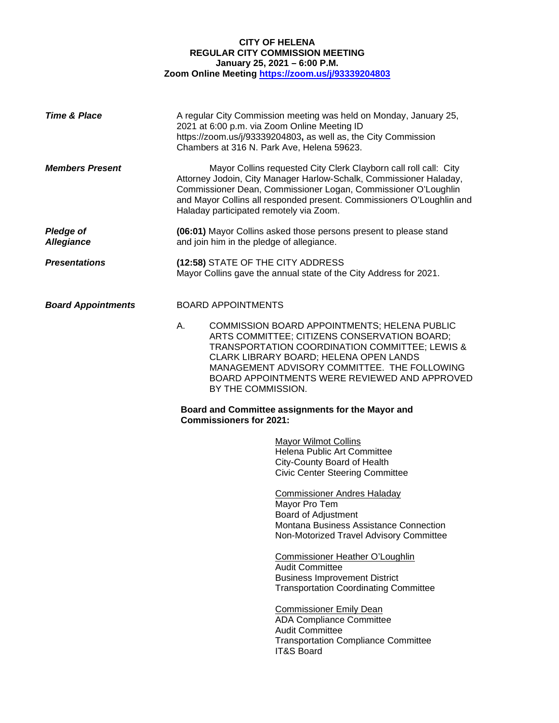# **CITY OF HELENA REGULAR CITY COMMISSION MEETING January 25, 2021 – 6:00 P.M. Zoom Online Meeting<https://zoom.us/j/93339204803>**

| <b>Time &amp; Place</b>               | 2021 at 6:00 p.m. via Zoom Online Meeting ID<br>Chambers at 316 N. Park Ave, Helena 59623. | A regular City Commission meeting was held on Monday, January 25,<br>https://zoom.us/j/93339204803, as well as, the City Commission                                                                                                                                                       |
|---------------------------------------|--------------------------------------------------------------------------------------------|-------------------------------------------------------------------------------------------------------------------------------------------------------------------------------------------------------------------------------------------------------------------------------------------|
| <b>Members Present</b>                | Haladay participated remotely via Zoom.                                                    | Mayor Collins requested City Clerk Clayborn call roll call: City<br>Attorney Jodoin, City Manager Harlow-Schalk, Commissioner Haladay,<br>Commissioner Dean, Commissioner Logan, Commissioner O'Loughlin<br>and Mayor Collins all responded present. Commissioners O'Loughlin and         |
| <b>Pledge of</b><br><b>Allegiance</b> | and join him in the pledge of allegiance.                                                  | (06:01) Mayor Collins asked those persons present to please stand                                                                                                                                                                                                                         |
| <b>Presentations</b>                  | (12:58) STATE OF THE CITY ADDRESS                                                          | Mayor Collins gave the annual state of the City Address for 2021.                                                                                                                                                                                                                         |
| <b>Board Appointments</b>             | <b>BOARD APPOINTMENTS</b>                                                                  |                                                                                                                                                                                                                                                                                           |
|                                       | А.<br>BY THE COMMISSION.                                                                   | COMMISSION BOARD APPOINTMENTS; HELENA PUBLIC<br>ARTS COMMITTEE; CITIZENS CONSERVATION BOARD;<br>TRANSPORTATION COORDINATION COMMITTEE; LEWIS &<br>CLARK LIBRARY BOARD; HELENA OPEN LANDS<br>MANAGEMENT ADVISORY COMMITTEE. THE FOLLOWING<br>BOARD APPOINTMENTS WERE REVIEWED AND APPROVED |
|                                       | Board and Committee assignments for the Mayor and<br><b>Commissioners for 2021:</b>        |                                                                                                                                                                                                                                                                                           |
|                                       |                                                                                            | <b>Mayor Wilmot Collins</b><br>Helena Public Art Committee<br>City-County Board of Health<br><b>Civic Center Steering Committee</b>                                                                                                                                                       |
|                                       |                                                                                            | <b>Commissioner Andres Haladay</b><br>Mayor Pro Tem<br>Board of Adjustment<br>Montana Business Assistance Connection<br>Non-Motorized Travel Advisory Committee                                                                                                                           |
|                                       |                                                                                            | <b>Commissioner Heather O'Loughlin</b><br><b>Audit Committee</b><br><b>Business Improvement District</b><br><b>Transportation Coordinating Committee</b>                                                                                                                                  |
|                                       |                                                                                            | <b>Commissioner Emily Dean</b><br><b>ADA Compliance Committee</b><br><b>Audit Committee</b><br><b>Transportation Compliance Committee</b><br><b>IT&amp;S Board</b>                                                                                                                        |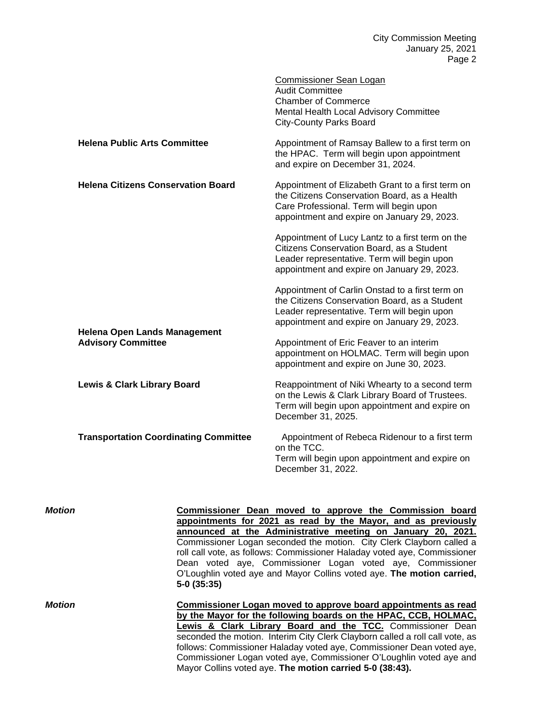City Commission Meeting January 25, 2021 Page 2

|                                                                  | <b>Commissioner Sean Logan</b><br><b>Audit Committee</b><br><b>Chamber of Commerce</b><br>Mental Health Local Advisory Committee<br><b>City-County Parks Board</b>                             |
|------------------------------------------------------------------|------------------------------------------------------------------------------------------------------------------------------------------------------------------------------------------------|
| <b>Helena Public Arts Committee</b>                              | Appointment of Ramsay Ballew to a first term on<br>the HPAC. Term will begin upon appointment<br>and expire on December 31, 2024.                                                              |
| <b>Helena Citizens Conservation Board</b>                        | Appointment of Elizabeth Grant to a first term on<br>the Citizens Conservation Board, as a Health<br>Care Professional. Term will begin upon<br>appointment and expire on January 29, 2023.    |
|                                                                  | Appointment of Lucy Lantz to a first term on the<br>Citizens Conservation Board, as a Student<br>Leader representative. Term will begin upon<br>appointment and expire on January 29, 2023.    |
|                                                                  | Appointment of Carlin Onstad to a first term on<br>the Citizens Conservation Board, as a Student<br>Leader representative. Term will begin upon<br>appointment and expire on January 29, 2023. |
| <b>Helena Open Lands Management</b><br><b>Advisory Committee</b> | Appointment of Eric Feaver to an interim<br>appointment on HOLMAC. Term will begin upon<br>appointment and expire on June 30, 2023.                                                            |
| <b>Lewis &amp; Clark Library Board</b>                           | Reappointment of Niki Whearty to a second term<br>on the Lewis & Clark Library Board of Trustees.<br>Term will begin upon appointment and expire on<br>December 31, 2025.                      |
| <b>Transportation Coordinating Committee</b>                     | Appointment of Rebeca Ridenour to a first term<br>on the TCC.<br>Term will begin upon appointment and expire on<br>December 31, 2022.                                                          |

*Motion* **Commissioner Dean moved to approve the Commission board appointments for 2021 as read by the Mayor, and as previously announced at the Administrative meeting on January 20, 2021.** Commissioner Logan seconded the motion. City Clerk Clayborn called a roll call vote, as follows: Commissioner Haladay voted aye, Commissioner Dean voted aye, Commissioner Logan voted aye, Commissioner O'Loughlin voted aye and Mayor Collins voted aye. **The motion carried, 5-0 (35:35)** *Motion* **Commissioner Logan moved to approve board appointments as read by the Mayor for the following boards on the HPAC, CCB, HOLMAC, Lewis & Clark Library Board and the TCC.** Commissioner Dean seconded the motion. Interim City Clerk Clayborn called a roll call vote, as follows: Commissioner Haladay voted aye, Commissioner Dean voted aye, Commissioner Logan voted aye, Commissioner O'Loughlin voted aye and Mayor Collins voted aye. **The motion carried 5-0 (38:43).**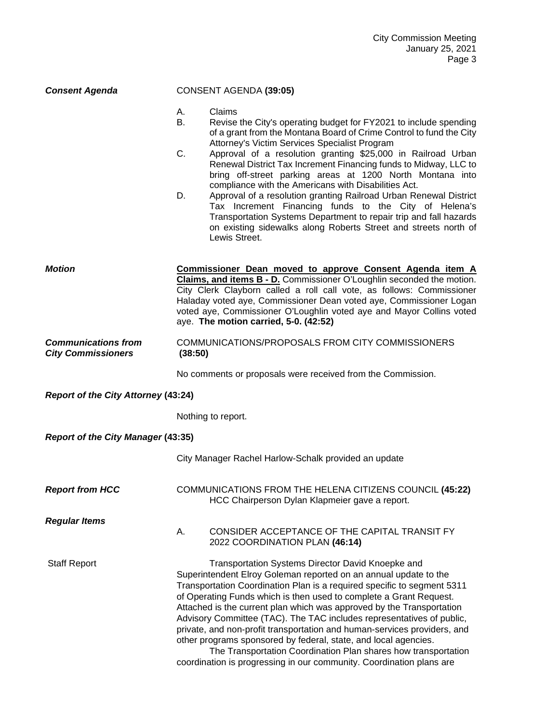## *Consent Agenda* CONSENT AGENDA **(39:05)**

- A. Claims
- B. Revise the City's operating budget for FY2021 to include spending of a grant from the Montana Board of Crime Control to fund the City Attorney's Victim Services Specialist Program
- C. Approval of a resolution granting \$25,000 in Railroad Urban Renewal District Tax Increment Financing funds to Midway, LLC to bring off-street parking areas at 1200 North Montana into compliance with the Americans with Disabilities Act.
- D. Approval of a resolution granting Railroad Urban Renewal District Tax Increment Financing funds to the City of Helena's Transportation Systems Department to repair trip and fall hazards on existing sidewalks along Roberts Street and streets north of Lewis Street.

| Motion | Commissioner Dean moved to approve Consent Agenda item A                     |
|--------|------------------------------------------------------------------------------|
|        | <b>Claims, and items B - D.</b> Commissioner O'Loughlin seconded the motion. |
|        | City Clerk Clayborn called a roll call vote, as follows: Commissioner        |
|        | Haladay voted aye, Commissioner Dean voted aye, Commissioner Logan           |
|        | voted aye, Commissioner O'Loughlin voted aye and Mayor Collins voted         |
|        | aye. The motion carried, 5-0. (42:52)                                        |
|        |                                                                              |

### *Communications from* COMMUNICATIONS/PROPOSALS FROM CITY COMMISSIONERS *City Commissioners* **(38:50)**

No comments or proposals were received from the Commission.

#### *Report of the City Attorney* **(43:24)**

Nothing to report.

#### *Report of the City Manager* **(43:35)**

City Manager Rachel Harlow-Schalk provided an update

*Report from HCC* COMMUNICATIONS FROM THE HELENA CITIZENS COUNCIL **(45:22)** HCC Chairperson Dylan Klapmeier gave a report.

*Regular Items* 

A. CONSIDER ACCEPTANCE OF THE CAPITAL TRANSIT FY 2022 COORDINATION PLAN **(46:14)**

Staff Report Transportation Systems Director David Knoepke and

Superintendent Elroy Goleman reported on an annual update to the Transportation Coordination Plan is a required specific to segment 5311 of Operating Funds which is then used to complete a Grant Request. Attached is the current plan which was approved by the Transportation Advisory Committee (TAC). The TAC includes representatives of public, private, and non-profit transportation and human-services providers, and other programs sponsored by federal, state, and local agencies.

The Transportation Coordination Plan shares how transportation coordination is progressing in our community. Coordination plans are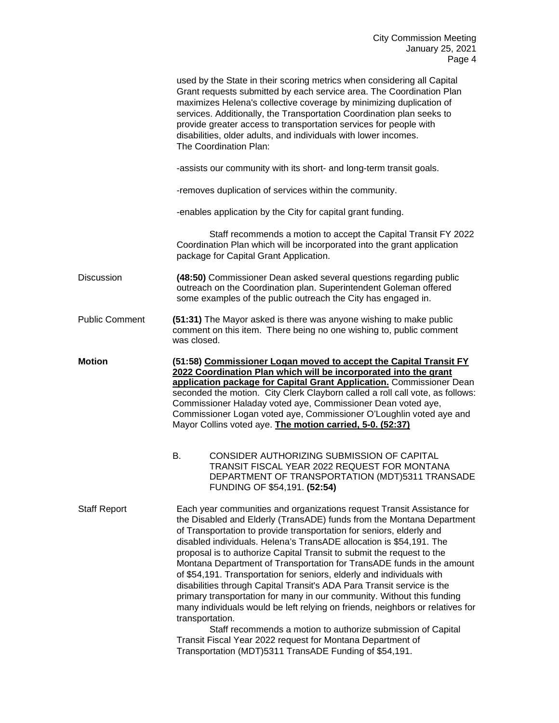|                       | used by the State in their scoring metrics when considering all Capital<br>Grant requests submitted by each service area. The Coordination Plan<br>maximizes Helena's collective coverage by minimizing duplication of<br>services. Additionally, the Transportation Coordination plan seeks to<br>provide greater access to transportation services for people with<br>disabilities, older adults, and individuals with lower incomes.<br>The Coordination Plan:                                                                                                                                                                                                                                                                                                                                                                                                                                                                                                         |  |  |
|-----------------------|---------------------------------------------------------------------------------------------------------------------------------------------------------------------------------------------------------------------------------------------------------------------------------------------------------------------------------------------------------------------------------------------------------------------------------------------------------------------------------------------------------------------------------------------------------------------------------------------------------------------------------------------------------------------------------------------------------------------------------------------------------------------------------------------------------------------------------------------------------------------------------------------------------------------------------------------------------------------------|--|--|
|                       | -assists our community with its short- and long-term transit goals.                                                                                                                                                                                                                                                                                                                                                                                                                                                                                                                                                                                                                                                                                                                                                                                                                                                                                                       |  |  |
|                       | -removes duplication of services within the community.                                                                                                                                                                                                                                                                                                                                                                                                                                                                                                                                                                                                                                                                                                                                                                                                                                                                                                                    |  |  |
|                       | -enables application by the City for capital grant funding.                                                                                                                                                                                                                                                                                                                                                                                                                                                                                                                                                                                                                                                                                                                                                                                                                                                                                                               |  |  |
|                       | Staff recommends a motion to accept the Capital Transit FY 2022<br>Coordination Plan which will be incorporated into the grant application<br>package for Capital Grant Application.                                                                                                                                                                                                                                                                                                                                                                                                                                                                                                                                                                                                                                                                                                                                                                                      |  |  |
| <b>Discussion</b>     | (48:50) Commissioner Dean asked several questions regarding public<br>outreach on the Coordination plan. Superintendent Goleman offered<br>some examples of the public outreach the City has engaged in.                                                                                                                                                                                                                                                                                                                                                                                                                                                                                                                                                                                                                                                                                                                                                                  |  |  |
| <b>Public Comment</b> | (51:31) The Mayor asked is there was anyone wishing to make public<br>comment on this item. There being no one wishing to, public comment<br>was closed.                                                                                                                                                                                                                                                                                                                                                                                                                                                                                                                                                                                                                                                                                                                                                                                                                  |  |  |
| <b>Motion</b>         | (51:58) Commissioner Logan moved to accept the Capital Transit FY<br>2022 Coordination Plan which will be incorporated into the grant<br>application package for Capital Grant Application. Commissioner Dean<br>seconded the motion. City Clerk Clayborn called a roll call vote, as follows:<br>Commissioner Haladay voted aye, Commissioner Dean voted aye,<br>Commissioner Logan voted aye, Commissioner O'Loughlin voted aye and<br>Mayor Collins voted aye. The motion carried, 5-0. (52:37)                                                                                                                                                                                                                                                                                                                                                                                                                                                                        |  |  |
|                       | <b>B.</b><br>CONSIDER AUTHORIZING SUBMISSION OF CAPITAL<br>TRANSIT FISCAL YEAR 2022 REQUEST FOR MONTANA<br>DEPARTMENT OF TRANSPORTATION (MDT)5311 TRANSADE<br>FUNDING OF \$54,191. (52:54)                                                                                                                                                                                                                                                                                                                                                                                                                                                                                                                                                                                                                                                                                                                                                                                |  |  |
| <b>Staff Report</b>   | Each year communities and organizations request Transit Assistance for<br>the Disabled and Elderly (TransADE) funds from the Montana Department<br>of Transportation to provide transportation for seniors, elderly and<br>disabled individuals. Helena's TransADE allocation is \$54,191. The<br>proposal is to authorize Capital Transit to submit the request to the<br>Montana Department of Transportation for TransADE funds in the amount<br>of \$54,191. Transportation for seniors, elderly and individuals with<br>disabilities through Capital Transit's ADA Para Transit service is the<br>primary transportation for many in our community. Without this funding<br>many individuals would be left relying on friends, neighbors or relatives for<br>transportation.<br>Staff recommends a motion to authorize submission of Capital<br>Transit Fiscal Year 2022 request for Montana Department of<br>Transportation (MDT)5311 TransADE Funding of \$54,191. |  |  |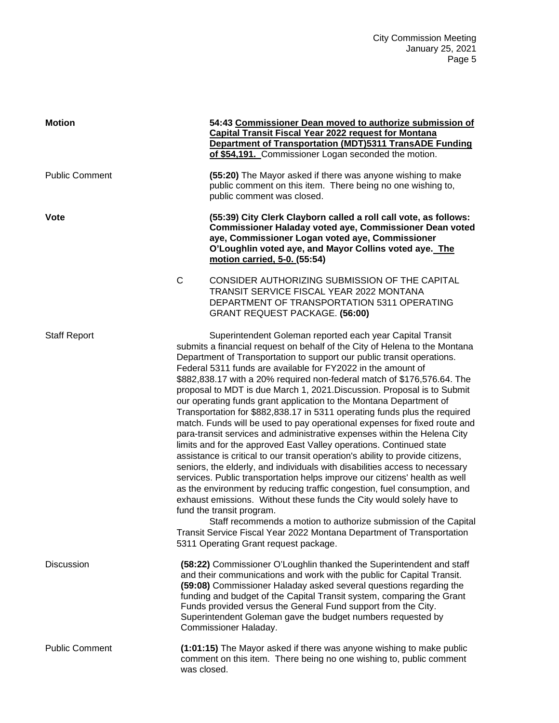| <b>Motion</b>         |                                                                                                                                                                                                                                                                                                                                                                                                                                                                                                                                                                                                                                                                                                                                                                                                                                                                                                                                                                                                                                                                                                                                                                                                                                                                                                                                                                                                                                                 | 54:43 Commissioner Dean moved to authorize submission of<br><b>Capital Transit Fiscal Year 2022 request for Montana</b><br><b>Department of Transportation (MDT)5311 TransADE Funding</b><br>of \$54,191. Commissioner Logan seconded the motion.                                                                                                                                                                                                      |
|-----------------------|-------------------------------------------------------------------------------------------------------------------------------------------------------------------------------------------------------------------------------------------------------------------------------------------------------------------------------------------------------------------------------------------------------------------------------------------------------------------------------------------------------------------------------------------------------------------------------------------------------------------------------------------------------------------------------------------------------------------------------------------------------------------------------------------------------------------------------------------------------------------------------------------------------------------------------------------------------------------------------------------------------------------------------------------------------------------------------------------------------------------------------------------------------------------------------------------------------------------------------------------------------------------------------------------------------------------------------------------------------------------------------------------------------------------------------------------------|--------------------------------------------------------------------------------------------------------------------------------------------------------------------------------------------------------------------------------------------------------------------------------------------------------------------------------------------------------------------------------------------------------------------------------------------------------|
| <b>Public Comment</b> |                                                                                                                                                                                                                                                                                                                                                                                                                                                                                                                                                                                                                                                                                                                                                                                                                                                                                                                                                                                                                                                                                                                                                                                                                                                                                                                                                                                                                                                 | (55:20) The Mayor asked if there was anyone wishing to make<br>public comment on this item. There being no one wishing to,<br>public comment was closed.                                                                                                                                                                                                                                                                                               |
| <b>Vote</b>           |                                                                                                                                                                                                                                                                                                                                                                                                                                                                                                                                                                                                                                                                                                                                                                                                                                                                                                                                                                                                                                                                                                                                                                                                                                                                                                                                                                                                                                                 | (55:39) City Clerk Clayborn called a roll call vote, as follows:<br><b>Commissioner Haladay voted aye, Commissioner Dean voted</b><br>aye, Commissioner Logan voted aye, Commissioner<br>O'Loughlin voted aye, and Mayor Collins voted aye. The<br>motion carried, 5-0. (55:54)                                                                                                                                                                        |
|                       | $\mathsf C$                                                                                                                                                                                                                                                                                                                                                                                                                                                                                                                                                                                                                                                                                                                                                                                                                                                                                                                                                                                                                                                                                                                                                                                                                                                                                                                                                                                                                                     | CONSIDER AUTHORIZING SUBMISSION OF THE CAPITAL<br>TRANSIT SERVICE FISCAL YEAR 2022 MONTANA<br>DEPARTMENT OF TRANSPORTATION 5311 OPERATING<br>GRANT REQUEST PACKAGE. (56:00)                                                                                                                                                                                                                                                                            |
| <b>Staff Report</b>   | Superintendent Goleman reported each year Capital Transit<br>submits a financial request on behalf of the City of Helena to the Montana<br>Department of Transportation to support our public transit operations.<br>Federal 5311 funds are available for FY2022 in the amount of<br>\$882,838.17 with a 20% required non-federal match of \$176,576.64. The<br>proposal to MDT is due March 1, 2021.Discussion. Proposal is to Submit<br>our operating funds grant application to the Montana Department of<br>Transportation for \$882,838.17 in 5311 operating funds plus the required<br>match. Funds will be used to pay operational expenses for fixed route and<br>para-transit services and administrative expenses within the Helena City<br>limits and for the approved East Valley operations. Continued state<br>assistance is critical to our transit operation's ability to provide citizens,<br>seniors, the elderly, and individuals with disabilities access to necessary<br>services. Public transportation helps improve our citizens' health as well<br>as the environment by reducing traffic congestion, fuel consumption, and<br>exhaust emissions. Without these funds the City would solely have to<br>fund the transit program.<br>Staff recommends a motion to authorize submission of the Capital<br>Transit Service Fiscal Year 2022 Montana Department of Transportation<br>5311 Operating Grant request package. |                                                                                                                                                                                                                                                                                                                                                                                                                                                        |
| <b>Discussion</b>     |                                                                                                                                                                                                                                                                                                                                                                                                                                                                                                                                                                                                                                                                                                                                                                                                                                                                                                                                                                                                                                                                                                                                                                                                                                                                                                                                                                                                                                                 | (58:22) Commissioner O'Loughlin thanked the Superintendent and staff<br>and their communications and work with the public for Capital Transit.<br>(59:08) Commissioner Haladay asked several questions regarding the<br>funding and budget of the Capital Transit system, comparing the Grant<br>Funds provided versus the General Fund support from the City.<br>Superintendent Goleman gave the budget numbers requested by<br>Commissioner Haladay. |
| <b>Public Comment</b> | was closed.                                                                                                                                                                                                                                                                                                                                                                                                                                                                                                                                                                                                                                                                                                                                                                                                                                                                                                                                                                                                                                                                                                                                                                                                                                                                                                                                                                                                                                     | (1:01:15) The Mayor asked if there was anyone wishing to make public<br>comment on this item. There being no one wishing to, public comment                                                                                                                                                                                                                                                                                                            |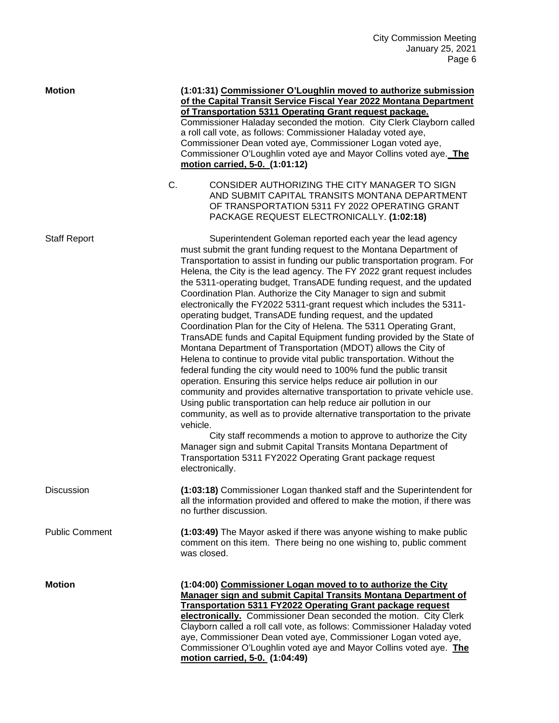| <b>Motion</b>         |    | (1:01:31) Commissioner O'Loughlin moved to authorize submission<br>of the Capital Transit Service Fiscal Year 2022 Montana Department<br>of Transportation 5311 Operating Grant request package.<br>Commissioner Haladay seconded the motion. City Clerk Clayborn called<br>a roll call vote, as follows: Commissioner Haladay voted aye,<br>Commissioner Dean voted aye, Commissioner Logan voted aye,<br>Commissioner O'Loughlin voted aye and Mayor Collins voted aye. The<br>motion carried, 5-0. (1:01:12)                                                                                                                                                                                                                                                                                                                                                                                                                                                                                                                                                                                                                                                                                                                                                                                                                                                                                                                                                                        |
|-----------------------|----|----------------------------------------------------------------------------------------------------------------------------------------------------------------------------------------------------------------------------------------------------------------------------------------------------------------------------------------------------------------------------------------------------------------------------------------------------------------------------------------------------------------------------------------------------------------------------------------------------------------------------------------------------------------------------------------------------------------------------------------------------------------------------------------------------------------------------------------------------------------------------------------------------------------------------------------------------------------------------------------------------------------------------------------------------------------------------------------------------------------------------------------------------------------------------------------------------------------------------------------------------------------------------------------------------------------------------------------------------------------------------------------------------------------------------------------------------------------------------------------|
|                       | C. | CONSIDER AUTHORIZING THE CITY MANAGER TO SIGN<br>AND SUBMIT CAPITAL TRANSITS MONTANA DEPARTMENT<br>OF TRANSPORTATION 5311 FY 2022 OPERATING GRANT<br>PACKAGE REQUEST ELECTRONICALLY. (1:02:18)                                                                                                                                                                                                                                                                                                                                                                                                                                                                                                                                                                                                                                                                                                                                                                                                                                                                                                                                                                                                                                                                                                                                                                                                                                                                                         |
| <b>Staff Report</b>   |    | Superintendent Goleman reported each year the lead agency<br>must submit the grant funding request to the Montana Department of<br>Transportation to assist in funding our public transportation program. For<br>Helena, the City is the lead agency. The FY 2022 grant request includes<br>the 5311-operating budget, TransADE funding request, and the updated<br>Coordination Plan. Authorize the City Manager to sign and submit<br>electronically the FY2022 5311-grant request which includes the 5311-<br>operating budget, TransADE funding request, and the updated<br>Coordination Plan for the City of Helena. The 5311 Operating Grant,<br>TransADE funds and Capital Equipment funding provided by the State of<br>Montana Department of Transportation (MDOT) allows the City of<br>Helena to continue to provide vital public transportation. Without the<br>federal funding the city would need to 100% fund the public transit<br>operation. Ensuring this service helps reduce air pollution in our<br>community and provides alternative transportation to private vehicle use.<br>Using public transportation can help reduce air pollution in our<br>community, as well as to provide alternative transportation to the private<br>vehicle.<br>City staff recommends a motion to approve to authorize the City<br>Manager sign and submit Capital Transits Montana Department of<br>Transportation 5311 FY2022 Operating Grant package request<br>electronically. |
| Discussion            |    | (1:03:18) Commissioner Logan thanked staff and the Superintendent for<br>all the information provided and offered to make the motion, if there was<br>no further discussion.                                                                                                                                                                                                                                                                                                                                                                                                                                                                                                                                                                                                                                                                                                                                                                                                                                                                                                                                                                                                                                                                                                                                                                                                                                                                                                           |
| <b>Public Comment</b> |    | (1:03:49) The Mayor asked if there was anyone wishing to make public<br>comment on this item. There being no one wishing to, public comment<br>was closed.                                                                                                                                                                                                                                                                                                                                                                                                                                                                                                                                                                                                                                                                                                                                                                                                                                                                                                                                                                                                                                                                                                                                                                                                                                                                                                                             |
| <b>Motion</b>         |    | (1:04:00) Commissioner Logan moved to to authorize the City<br>Manager sign and submit Capital Transits Montana Department of<br><b>Transportation 5311 FY2022 Operating Grant package request</b><br>electronically. Commissioner Dean seconded the motion. City Clerk<br>Clayborn called a roll call vote, as follows: Commissioner Haladay voted<br>aye, Commissioner Dean voted aye, Commissioner Logan voted aye,<br>Commissioner O'Loughlin voted aye and Mayor Collins voted aye. The<br>motion carried, 5-0. (1:04:49)                                                                                                                                                                                                                                                                                                                                                                                                                                                                                                                                                                                                                                                                                                                                                                                                                                                                                                                                                         |